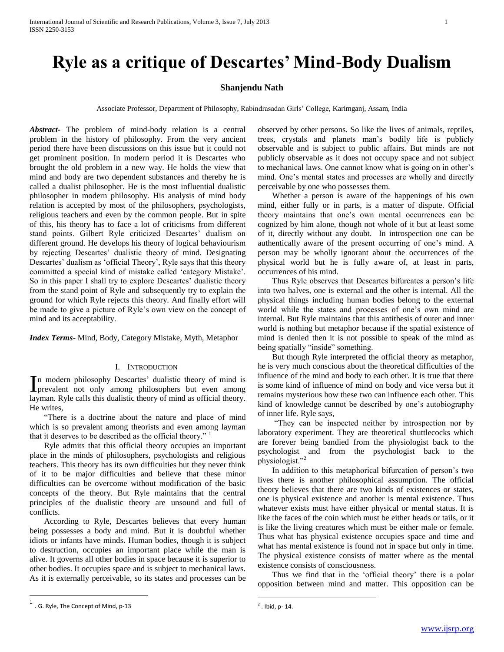# **Ryle as a critique of Descartes' Mind-Body Dualism**

# **Shanjendu Nath**

Associate Professor, Department of Philosophy, Rabindrasadan Girls" College, Karimganj, Assam, India

*Abstract***-** The problem of mind-body relation is a central problem in the history of philosophy. From the very ancient period there have been discussions on this issue but it could not get prominent position. In modern period it is Descartes who brought the old problem in a new way. He holds the view that mind and body are two dependent substances and thereby he is called a dualist philosopher. He is the most influential dualistic philosopher in modern philosophy. His analysis of mind body relation is accepted by most of the philosophers, psychologists, religious teachers and even by the common people. But in spite of this, his theory has to face a lot of criticisms from different stand points. Gilbert Ryle criticized Descartes' dualism on different ground. He develops his theory of logical behaviourism by rejecting Descartes' dualistic theory of mind. Designating Descartes' dualism as 'official Theory', Ryle says that this theory committed a special kind of mistake called "category Mistake". So in this paper I shall try to explore Descartes' dualistic theory from the stand point of Ryle and subsequently try to explain the ground for which Ryle rejects this theory. And finally effort will be made to give a picture of Ryle's own view on the concept of mind and its acceptability.

*Index Terms*- Mind, Body, Category Mistake, Myth, Metaphor

## I. INTRODUCTION

n modern philosophy Descartes' dualistic theory of mind is In modern philosophy Descartes' dualistic theory of mind is<br>prevalent not only among philosophers but even among layman. Ryle calls this dualistic theory of mind as official theory. He writes,

 "There is a doctrine about the nature and place of mind which is so prevalent among theorists and even among layman that it deserves to be described as the official theory." <sup>1</sup>

 Ryle admits that this official theory occupies an important place in the minds of philosophers, psychologists and religious teachers. This theory has its own difficulties but they never think of it to be major difficulties and believe that these minor difficulties can be overcome without modification of the basic concepts of the theory. But Ryle maintains that the central principles of the dualistic theory are unsound and full of conflicts.

 According to Ryle, Descartes believes that every human being possesses a body and mind. But it is doubtful whether idiots or infants have minds. Human bodies, though it is subject to destruction, occupies an important place while the man is alive. It governs all other bodies in space because it is superior to other bodies. It occupies space and is subject to mechanical laws. As it is externally perceivable, so its states and processes can be observed by other persons. So like the lives of animals, reptiles, trees, crystals and planets man"s bodily life is publicly observable and is subject to public affairs. But minds are not publicly observable as it does not occupy space and not subject to mechanical laws. One cannot know what is going on in other"s mind. One"s mental states and processes are wholly and directly perceivable by one who possesses them.

 Whether a person is aware of the happenings of his own mind, either fully or in parts, is a matter of dispute. Official theory maintains that one"s own mental occurrences can be cognized by him alone, though not whole of it but at least some of it, directly without any doubt. In introspection one can be authentically aware of the present occurring of one"s mind. A person may be wholly ignorant about the occurrences of the physical world but he is fully aware of, at least in parts, occurrences of his mind.

 Thus Ryle observes that Descartes bifurcates a person"s life into two halves, one is external and the other is internal. All the physical things including human bodies belong to the external world while the states and processes of one"s own mind are internal. But Ryle maintains that this antithesis of outer and inner world is nothing but metaphor because if the spatial existence of mind is denied then it is not possible to speak of the mind as being spatially "inside" something.

 But though Ryle interpreted the official theory as metaphor, he is very much conscious about the theoretical difficulties of the influence of the mind and body to each other. It is true that there is some kind of influence of mind on body and vice versa but it remains mysterious how these two can influence each other. This kind of knowledge cannot be described by one"s autobiography of inner life. Ryle says,

 "They can be inspected neither by introspection nor by laboratory experiment. They are theoretical shuttlecocks which are forever being bandied from the physiologist back to the psychologist and from the psychologist back to the physiologist."<sup>2</sup>

 In addition to this metaphorical bifurcation of person"s two lives there is another philosophical assumption. The official theory believes that there are two kinds of existences or states, one is physical existence and another is mental existence. Thus whatever exists must have either physical or mental status. It is like the faces of the coin which must be either heads or tails, or it is like the living creatures which must be either male or female. Thus what has physical existence occupies space and time and what has mental existence is found not in space but only in time. The physical existence consists of matter where as the mental existence consists of consciousness.

Thus we find that in the 'official theory' there is a polar opposition between mind and matter. This opposition can be

 $\overline{a}$ 

 $\overline{a}$ 

 $<sup>1</sup>$  . G. Ryle, The Concept of Mind, p-13</sup>

 $2$ . Ibid, p- 14.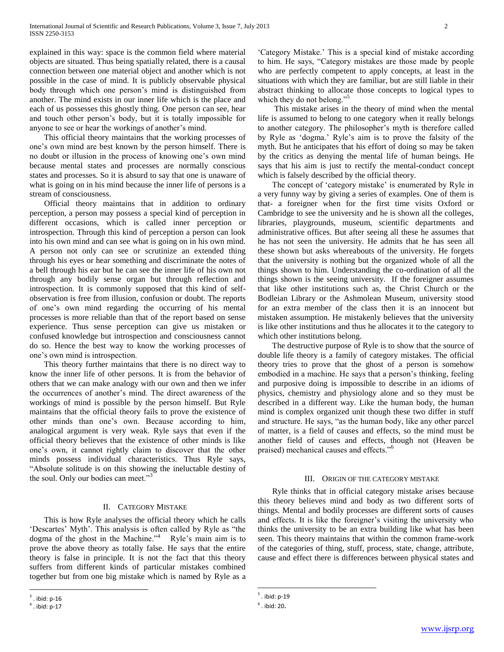explained in this way: space is the common field where material objects are situated. Thus being spatially related, there is a causal connection between one material object and another which is not possible in the case of mind. It is publicly observable physical body through which one person"s mind is distinguished from another. The mind exists in our inner life which is the place and each of us possesses this ghostly thing. One person can see, hear and touch other person"s body, but it is totally impossible for anyone to see or hear the workings of another"s mind.

 This official theory maintains that the working processes of one"s own mind are best known by the person himself. There is no doubt or illusion in the process of knowing one's own mind because mental states and processes are normally conscious states and processes. So it is absurd to say that one is unaware of what is going on in his mind because the inner life of persons is a stream of consciousness.

 Official theory maintains that in addition to ordinary perception, a person may possess a special kind of perception in different occasions, which is called inner perception or introspection. Through this kind of perception a person can look into his own mind and can see what is going on in his own mind. A person not only can see or scrutinize an extended thing through his eyes or hear something and discriminate the notes of a bell through his ear but he can see the inner life of his own not through any bodily sense organ but through reflection and introspection. It is commonly supposed that this kind of selfobservation is free from illusion, confusion or doubt. The reports of one"s own mind regarding the occurring of his mental processes is more reliable than that of the report based on sense experience. Thus sense perception can give us mistaken or confused knowledge but introspection and consciousness cannot do so. Hence the best way to know the working processes of one"s own mind is introspection.

 This theory further maintains that there is no direct way to know the inner life of other persons. It is from the behavior of others that we can make analogy with our own and then we infer the occurrences of another"s mind. The direct awareness of the workings of mind is possible by the person himself. But Ryle maintains that the official theory fails to prove the existence of other minds than one"s own. Because according to him, analogical argument is very weak. Ryle says that even if the official theory believes that the existence of other minds is like one"s own, it cannot rightly claim to discover that the other minds possess individual characteristics. Thus Ryle says, "Absolute solitude is on this showing the ineluctable destiny of the soul. Only our bodies can meet."<sup>3</sup>

### II. CATEGORY MISTAKE

 This is how Ryle analyses the official theory which he calls 'Descartes' Myth'. This analysis is often called by Ryle as "the dogma of the ghost in the Machine."<sup>4</sup> Ryle's main aim is to prove the above theory as totally false. He says that the entire theory is false in principle. It is not the fact that this theory suffers from different kinds of particular mistakes combined together but from one big mistake which is named by Ryle as a

 $\overline{a}$ 

'Category Mistake.' This is a special kind of mistake according to him. He says, "Category mistakes are those made by people who are perfectly competent to apply concepts, at least in the situations with which they are familiar, but are still liable in their abstract thinking to allocate those concepts to logical types to which they do not belong."<sup>5</sup>

 This mistake arises in the theory of mind when the mental life is assumed to belong to one category when it really belongs to another category. The philosopher"s myth is therefore called by Ryle as "dogma." Ryle"s aim is to prove the falsity of the myth. But he anticipates that his effort of doing so may be taken by the critics as denying the mental life of human beings. He says that his aim is just to rectify the mental-conduct concept which is falsely described by the official theory.

The concept of 'category mistake' is enumerated by Ryle in a very funny way by giving a series of examples. One of them is that- a foreigner when for the first time visits Oxford or Cambridge to see the university and he is shown all the colleges, libraries, playgrounds, museum, scientific departments and administrative offices. But after seeing all these he assumes that he has not seen the university. He admits that he has seen all these shown but asks whereabouts of the university. He forgets that the university is nothing but the organized whole of all the things shown to him. Understanding the co-ordination of all the things shown is the seeing university. If the foreigner assumes that like other institutions such as, the Christ Church or the Bodleian Library or the Ashmolean Museum, university stood for an extra member of the class then it is an innocent but mistaken assumption. He mistakenly believes that the university is like other institutions and thus he allocates it to the category to which other institutions belong.

 The destructive purpose of Ryle is to show that the source of double life theory is a family of category mistakes. The official theory tries to prove that the ghost of a person is somehow embodied in a machine. He says that a person"s thinking, feeling and purposive doing is impossible to describe in an idioms of physics, chemistry and physiology alone and so they must be described in a different way. Like the human body, the human mind is complex organized unit though these two differ in stuff and structure. He says, "as the human body, like any other parcel of matter, is a field of causes and effects, so the mind must be another field of causes and effects, though not (Heaven be praised) mechanical causes and effects."<sup>6</sup>

#### III. ORIGIN OF THE CATEGORY MISTAKE

 Ryle thinks that in official category mistake arises because this theory believes mind and body as two different sorts of things. Mental and bodily processes are different sorts of causes and effects. It is like the foreigner's visiting the university who thinks the university to be an extra building like what has been seen. This theory maintains that within the common frame-work of the categories of thing, stuff, process, state, change, attribute, cause and effect there is differences between physical states and

 $\overline{a}$ 

 $3$ . ibid: p-16

 $<sup>4</sup>$ . ibid: p-17</sup>

<sup>5</sup> . ibid: p-19

 $<sup>6</sup>$ . ibid: 20.</sup>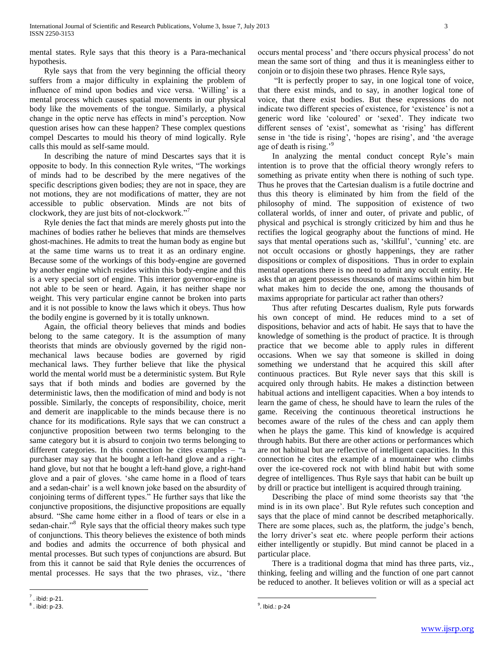mental states. Ryle says that this theory is a Para-mechanical hypothesis.

 Ryle says that from the very beginning the official theory suffers from a major difficulty in explaining the problem of influence of mind upon bodies and vice versa. "Willing" is a mental process which causes spatial movements in our physical body like the movements of the tongue. Similarly, a physical change in the optic nerve has effects in mind"s perception. Now question arises how can these happen? These complex questions compel Descartes to mould his theory of mind logically. Ryle calls this mould as self-same mould.

 In describing the nature of mind Descartes says that it is opposite to body. In this connection Ryle writes, "The workings of minds had to be described by the mere negatives of the specific descriptions given bodies; they are not in space, they are not motions, they are not modifications of matter, they are not accessible to public observation. Minds are not bits of clockwork, they are just bits of not-clockwork."<sup>7</sup>

 Ryle denies the fact that minds are merely ghosts put into the machines of bodies rather he believes that minds are themselves ghost-machines. He admits to treat the human body as engine but at the same time warns us to treat it as an ordinary engine. Because some of the workings of this body-engine are governed by another engine which resides within this body-engine and this is a very special sort of engine. This interior governor-engine is not able to be seen or heard. Again, it has neither shape nor weight. This very particular engine cannot be broken into parts and it is not possible to know the laws which it obeys. Thus how the bodily engine is governed by it is totally unknown.

 Again, the official theory believes that minds and bodies belong to the same category. It is the assumption of many theorists that minds are obviously governed by the rigid nonmechanical laws because bodies are governed by rigid mechanical laws. They further believe that like the physical world the mental world must be a deterministic system. But Ryle says that if both minds and bodies are governed by the deterministic laws, then the modification of mind and body is not possible. Similarly, the concepts of responsibility, choice, merit and demerit are inapplicable to the minds because there is no chance for its modifications. Ryle says that we can construct a conjunctive proposition between two terms belonging to the same category but it is absurd to conjoin two terms belonging to different categories. In this connection he cites examples – "a purchaser may say that he bought a left-hand glove and a righthand glove, but not that he bought a left-hand glove, a right-hand glove and a pair of gloves. "she came home in a flood of tears and a sedan-chair" is a well known joke based on the absurdity of conjoining terms of different types." He further says that like the conjunctive propositions, the disjunctive propositions are equally absurd. "She came home either in a flood of tears or else in a sedan-chair."<sup>8</sup> Ryle says that the official theory makes such type of conjunctions. This theory believes the existence of both minds and bodies and admits the occurrence of both physical and mental processes. But such types of conjunctions are absurd. But from this it cannot be said that Ryle denies the occurrences of mental processes. He says that the two phrases, viz., "there

 "It is perfectly proper to say, in one logical tone of voice, that there exist minds, and to say, in another logical tone of voice, that there exist bodies. But these expressions do not indicate two different species of existence, for 'existence' is not a generic word like "coloured" or "sexed". They indicate two different senses of 'exist', somewhat as 'rising' has different sense in 'the tide is rising', 'hopes are rising', and 'the average age of death is rising."

In analyzing the mental conduct concept Ryle's main intention is to prove that the official theory wrongly refers to something as private entity when there is nothing of such type. Thus he proves that the Cartesian dualism is a futile doctrine and thus this theory is eliminated by him from the field of the philosophy of mind. The supposition of existence of two collateral worlds, of inner and outer, of private and public, of physical and psychical is strongly criticized by him and thus he rectifies the logical geography about the functions of mind. He says that mental operations such as, 'skillful', 'cunning' etc. are not occult occasions or ghostly happenings, they are rather dispositions or complex of dispositions. Thus in order to explain mental operations there is no need to admit any occult entity. He asks that an agent possesses thousands of maxims within him but what makes him to decide the one, among the thousands of maxims appropriate for particular act rather than others?

 Thus after refuting Descartes dualism, Ryle puts forwards his own concept of mind. He reduces mind to a set of dispositions, behavior and acts of habit. He says that to have the knowledge of something is the product of practice. It is through practice that we become able to apply rules in different occasions. When we say that someone is skilled in doing something we understand that he acquired this skill after continuous practices. But Ryle never says that this skill is acquired only through habits. He makes a distinction between habitual actions and intelligent capacities. When a boy intends to learn the game of chess, he should have to learn the rules of the game. Receiving the continuous theoretical instructions he becomes aware of the rules of the chess and can apply them when he plays the game. This kind of knowledge is acquired through habits. But there are other actions or performances which are not habitual but are reflective of intelligent capacities. In this connection he cites the example of a mountaineer who climbs over the ice-covered rock not with blind habit but with some degree of intelligences. Thus Ryle says that habit can be built up by drill or practice but intelligent is acquired through training.

 Describing the place of mind some theorists say that "the mind is in its own place". But Ryle refutes such conception and says that the place of mind cannot be described metaphorically. There are some places, such as, the platform, the judge's bench, the lorry driver"s seat etc. where people perform their actions either intelligently or stupidly. But mind cannot be placed in a particular place.

 There is a traditional dogma that mind has three parts, viz., thinking, feeling and willing and the function of one part cannot be reduced to another. It believes volition or will as a special act

 $\overline{a}$ 

 $\overline{a}$ 

occurs mental process" and "there occurs physical process" do not mean the same sort of thing and thus it is meaningless either to conjoin or to disjoin these two phrases. Hence Ryle says,

 $<sup>7</sup>$ . ibid: p-21.</sup>

 $8$ . ibid: p-23.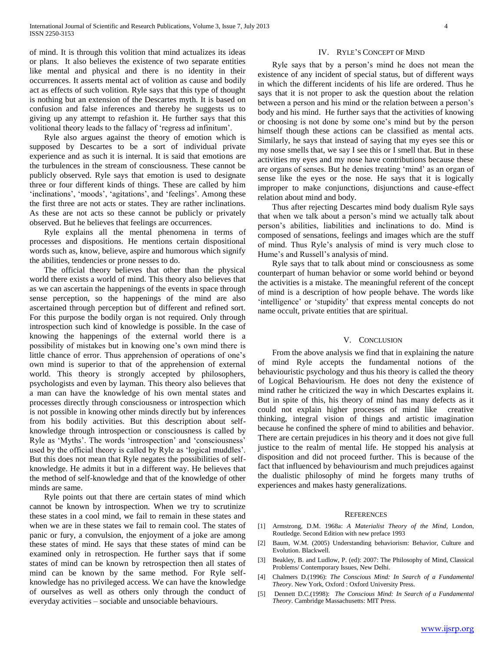of mind. It is through this volition that mind actualizes its ideas or plans. It also believes the existence of two separate entities like mental and physical and there is no identity in their occurrences. It asserts mental act of volition as cause and bodily act as effects of such volition. Ryle says that this type of thought is nothing but an extension of the Descartes myth. It is based on confusion and false inferences and thereby he suggests us to giving up any attempt to refashion it. He further says that this volitional theory leads to the fallacy of "regress ad infinitum".

 Ryle also argues against the theory of emotion which is supposed by Descartes to be a sort of individual private experience and as such it is internal. It is said that emotions are the turbulences in the stream of consciousness. These cannot be publicly observed. Ryle says that emotion is used to designate three or four different kinds of things. These are called by him 'inclinations', 'moods', 'agitations', and 'feelings'. Among these the first three are not acts or states. They are rather inclinations. As these are not acts so these cannot be publicly or privately observed. But he believes that feelings are occurrences.

 Ryle explains all the mental phenomena in terms of processes and dispositions. He mentions certain dispositional words such as, know, believe, aspire and humorous which signify the abilities, tendencies or prone nesses to do.

 The official theory believes that other than the physical world there exists a world of mind. This theory also believes that as we can ascertain the happenings of the events in space through sense perception, so the happenings of the mind are also ascertained through perception but of different and refined sort. For this purpose the bodily organ is not required. Only through introspection such kind of knowledge is possible. In the case of knowing the happenings of the external world there is a possibility of mistakes but in knowing one"s own mind there is little chance of error. Thus apprehension of operations of one"s own mind is superior to that of the apprehension of external world. This theory is strongly accepted by philosophers, psychologists and even by layman. This theory also believes that a man can have the knowledge of his own mental states and processes directly through consciousness or introspection which is not possible in knowing other minds directly but by inferences from his bodily activities. But this description about selfknowledge through introspection or consciousness is called by Ryle as 'Myths'. The words 'introspection' and 'consciousness' used by the official theory is called by Ryle as "logical muddles". But this does not mean that Ryle negates the possibilities of selfknowledge. He admits it but in a different way. He believes that the method of self-knowledge and that of the knowledge of other minds are same.

 Ryle points out that there are certain states of mind which cannot be known by introspection. When we try to scrutinize these states in a cool mind, we fail to remain in these states and when we are in these states we fail to remain cool. The states of panic or fury, a convulsion, the enjoyment of a joke are among these states of mind. He says that these states of mind can be examined only in retrospection. He further says that if some states of mind can be known by retrospection then all states of mind can be known by the same method. For Ryle selfknowledge has no privileged access. We can have the knowledge of ourselves as well as others only through the conduct of everyday activities – sociable and unsociable behaviours.

#### IV. RYLE"S CONCEPT OF MIND

 Ryle says that by a person"s mind he does not mean the existence of any incident of special status, but of different ways in which the different incidents of his life are ordered. Thus he says that it is not proper to ask the question about the relation between a person and his mind or the relation between a person"s body and his mind. He further says that the activities of knowing or choosing is not done by some one"s mind but by the person himself though these actions can be classified as mental acts. Similarly, he says that instead of saying that my eyes see this or my nose smells that, we say I see this or I smell that. But in these activities my eyes and my nose have contributions because these are organs of senses. But he denies treating "mind" as an organ of sense like the eyes or the nose. He says that it is logically improper to make conjunctions, disjunctions and cause-effect relation about mind and body.

 Thus after rejecting Descartes mind body dualism Ryle says that when we talk about a person"s mind we actually talk about person"s abilities, liabilities and inclinations to do. Mind is composed of sensations, feelings and images which are the stuff of mind. Thus Ryle"s analysis of mind is very much close to Hume's and Russell's analysis of mind.

 Ryle says that to talk about mind or consciousness as some counterpart of human behavior or some world behind or beyond the activities is a mistake. The meaningful referent of the concept of mind is a description of how people behave. The words like intelligence' or 'stupidity' that express mental concepts do not name occult, private entities that are spiritual.

#### V. CONCLUSION

 From the above analysis we find that in explaining the nature of mind Ryle accepts the fundamental notions of the behaviouristic psychology and thus his theory is called the theory of Logical Behaviourism. He does not deny the existence of mind rather he criticized the way in which Descartes explains it. But in spite of this, his theory of mind has many defects as it could not explain higher processes of mind like creative thinking, integral vision of things and artistic imagination because he confined the sphere of mind to abilities and behavior. There are certain prejudices in his theory and it does not give full justice to the realm of mental life. He stopped his analysis at disposition and did not proceed further. This is because of the fact that influenced by behaviourism and much prejudices against the dualistic philosophy of mind he forgets many truths of experiences and makes hasty generalizations.

#### **REFERENCES**

- [1] Armstrong, D.M. 1968a: *A Materialist Theory of the Mind*, London, Routledge. Second Edition with new preface 1993
- [2] Baum, W.M. (2005) Understanding behaviorism: Behavior, Culture and Evolution. Blackwell.
- [3] Beakley, B. and Ludlow, P. (ed): 2007: The Philosophy of Mind, Classical Problems/ Contemporary Issues, New Delhi.
- [4] Chalmers D.(1996): *The Conscious Mind: In Search of a Fundamental Theory*. New York, Oxford : Oxford University Press.
- [5] Dennett D.C.(1998): *The Conscious Mind: In Search of a Fundamental Theory*. Cambridge Massachusetts: MIT Press.